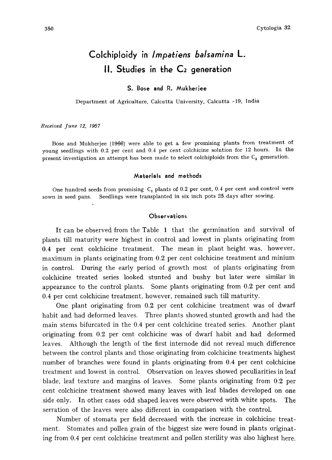# Coichiploidy in Impatiens balsamina L.  $II.$  Studies in the  $C<sub>2</sub>$  generation

# S. Bose and R. Mukherjee

Department of Agriculture, Calcutta University, Calcutta -19, India

Received June 12, 1967

Bose and Mukherjee (1966) were able to get a few promising plants from treatment of young seedlings with 0.2 per cent and 0.4 per cent colchicine solution for 12 hours. In the present investigation an attempt has been made to select colchiploids from the  $C_2$  generation.

#### Materials and methods

One hundred seeds from promising  $C_1$  plants of 0.2 per cent, 0.4 per cent and control were sown in seed pans. Seedlings were transplanted in six inch pots 25 days after sowing.

# Observations

It can be observed from the Table 1 that the germination and survival of plants till maturity were highest in control and lowest in plants originating from 0.4 per cent colchicine treatment. The mean in plant height was, however, maximum in plants originating from 0.2 per cent colchicine treatment and minium in control. During the early period of growth most of plants originating from colchicine treated series looked stunted and bushy but later were similar in appearance to the control plants. Some plants originating from 0.2 per cent and 0.4 per cent colchicine treatment, however, remained such till maturity.

One plant originating from 0.2 per cent colchicine treatment was of dwarf habit and had deformed leaves. Three plants showed stunted growth and had the main stems bifurcated in the 0.4 per cent colchicine treated series. Another plant originating from 0.2 per cent colchicine was of dwarf habit and had deformed leaves. Although the length of the first internode did not reveal much difference between the control plants and those originating from colchicine treatments highest number of branches were found in plants originating from 0.4 per cent colchicine treatment and lowest in control. Observation on leaves showed peculiarities in leaf blade, leaf texture and margins of leaves. Some plants originating from 0.2 per cent colchicine treatment showed many leaves with leaf blades developed on one side only. In other cases odd shaped leaves were observed with white spots. The serration of the leaves were also different in comparison with the control.

Number of stomata per field decreased with the increase in colchicine treat ment. Stomates and pollen grain of the biggest size were found in plants originat ing from 0.4 per cent colchicine treatment and pollen sterility was also highest here.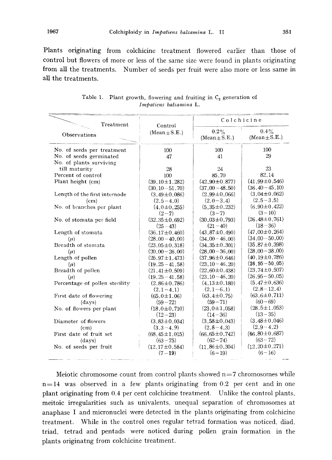Plants originating from colchicine treatment flowered earlier than those of control but flowers of more or less of the same size were found in plants originating from all the treatments. Number of seeds per fruit were also more or less same in all the treatments.

| Treatment                      | Control             | Colchicine                   |                              |
|--------------------------------|---------------------|------------------------------|------------------------------|
| Observations                   | $(Mean \pm S.E.)$   | $0.2\%$<br>$(Mean \pm S.E.)$ | $0.4\%$<br>$(Mean \pm S.E.)$ |
| No. of seeds per treatment     | 100                 | 100                          | 100                          |
| No. of seeds germinated        | 47                  | 41                           | 29                           |
| No. of plants surviving        |                     |                              |                              |
| till maturity                  | 28                  | 24                           | 23                           |
| Percent of control             | 100                 | 85.70                        | 82.14                        |
| Plant height (cm)              | $(39.10 \pm 1.282)$ | $(42.90 \pm 0.877)$          | $(41.99 \pm 0.546)$          |
|                                | $(30.10 - 51.70)$   | $(37,00-48,50)$              | $(36.40 - 45.10)$            |
| Length of the first internode  | $(3.49 \pm 0.086)$  | $(2.99 \pm 0.066)$           | $(3.04 \pm 0.062)$           |
| (c <sub>m</sub> )              | $(2.5 - 4.0)$       | $(2.0 - 3.4)$                | $(2.5 - 3.5)$                |
| No. of branches per plant      | $(4.0 \pm 0.255)$   | $(5.35 \pm 0.232)$           | $(6.90 \pm 0.422)$           |
|                                | $(2 - 7)$           | $(3-7)$                      | $(3-10)$                     |
| No. of stomata per field       | $(32.35 \pm 0.692)$ | $(30.03 \pm 0.793)$          | $(26.48 \pm 0.761)$          |
|                                | $(25-43)$           | $(21 - 40)$                  | $(18-36)$                    |
| Length of stomata              | $(36.17 \pm 0.460)$ | $(43.87 \pm 0.490)$          | $(47.00 \pm 0.264)$          |
| $(\mu)$                        | $(28.00 - 40.00)$   | $(34,00 - 46,00)$            | $(34,00 - 50,00)$            |
| Breadth of stomata             | $(23.05 \pm 0.318)$ | $(34.35 \pm 0.301)$          | $(35.87 \pm 0.398)$          |
| $(\mu)$                        | $(20.00 - 26.00)$   | $(28.00 - 36.00)$            | $(28.00 - 38.00)$            |
| Length of pollen               | $(25.97 \pm 1.473)$ | $(37.96 \pm 0.646)$          | $(40.19 \pm 0.786)$          |
| $(\mu)$                        | $(19.25 - 41.58)$   | $(23.10 - 46.20)$            | $(26.95 - 50.05)$            |
| Breadth of pollen              | $(21.41 \pm 0.509)$ | $(22.60 \pm 0.438)$          | $(23.74 \pm 0.507)$          |
| $(\mu)$                        | $(19.25 - 41.58)$   | $(23.10 - 46.20)$            | $(26.95 - 50.05)$            |
| Percentage of pollen sterility | $(2.86 \pm 0.786)$  | $(4.13 \pm 0.180)$           | $(5.47 \pm 0.636)$           |
|                                | $(2.1 - 4.1)$       | $(2.1 - 6.1)$                | $(2,8-12,4)$                 |
| First date of flowering        | $(65.0 \pm 1.06)$   | $(63.4 \pm 0.75)$            | $(63.6 \pm 0.711)$           |
| (days)                         | $(59 - 72)$         | $(59 - 71)$                  | $(60 - 69)$                  |
| No. of flowers per plant       | $(18.0 \pm 0.710)$  | $(23.0 \pm 1.058)$           | $(28.5 \pm 1.053)$           |
|                                | $(12-23)$           | $(14-36)$                    | $(13 - 35)$                  |
| Diameter of flowers            | $(3.83 \pm 0.034)$  | $(3.58 \pm 0.043)$           | $(3.48 \pm 0.046)$           |
| (c <sub>m</sub> )              | $(3.3 - 4.9)$       | $(2.8 - 4.3)$                | $(2,9-4,2)$                  |
| First date of fruit set        | $(68.45 \pm 1.015)$ | $(66.65 \pm 0.742)$          | $(66, 80 \pm 0.687)$         |
| (days)                         | $(63 - 75)$         | $(62 - 74)$                  | $(63 - 72)$                  |
| No. of seeds per fruit         | $(12.17 \pm 0.584)$ | $(11.86 \pm 0.304)$          | $(12.20 \pm 0.271)$          |
|                                | $(7-19)$            | $(6 - 19)$                   | $(6-16)$                     |

Table 1. Plant growth, flowering and fruiting in  $C_2$  generation of Impatiens balsamina L.

Meiotic chromosome count from control plants showed  $n=7$  chromosomes while  $n=14$  was observed in a few plants originating from 0.2 per cent and in one plant originating from 0.4 per cent colchicine treatment. Unlike the control plants, meitoic irregularities such as univalents, unequal separation of chromosomes at anaphase I and micronuclei were detected in the plants originating from colchicine treatment. While in the control ones regular tetrad formation was noticed, diad, triad, tetrad and pentads were noticed during pollen grain formation in the plants originatng from colchicine treatment.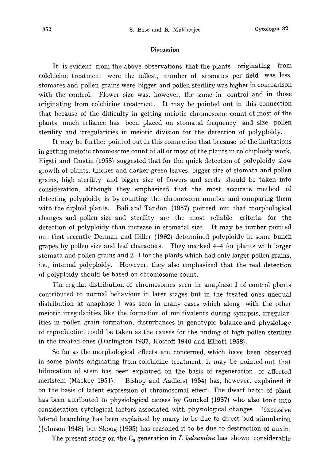## Discussion

It is evident from the above observations that the plants originating from colchicine treatment were the tallest, number of stomates per field was less, stomates and pollen grains were bigger and pollen sterility was higher in comparison with the control. Flower size was, however, the same in control and in those originating from colchicine treatment. It may be pointed out in this connection that because of the difficulty in getting meiotic chromosome count of most of the plants, much reliance has been placed on stomatal frequency and size, pollen sterility and irregularities in meiotic division for the detection of polyploidy.

It may be further pointed out in this connection that because of the limitations in getting meiotic chromosome count of all or most of the plants in colchiploidy work, Eigsti and Dustin (1955) suggested that for the quick detection of polyploidy slow growth of plants, thicker and darker green leaves, bigger size of stomata and pollen grains, high sterility and bigger size of flowers and seeds should be taken into consideration, although they emphasized that the most accurate method of detecting polyploidy is by counting the chromosome number and comparing them with the diploid plants. Bali and Tandon (1957) pointed out that morphological changes and pollen size and sterility are the most reliable criteria for the detection of polyploidy than increase in stomatal size. It may be further pointed out that recently Derman and Diller (1962) determined polyploidy in some bunch grapes by pollen size and leaf characters. They marked 4-4 for plants with larger stomata and pollen grains and 2-4 for the plants which had only larger pollen grains, i.e., internal polyploidy. However, they also emphasized that the real detection of polyploidy should be based on chromosome count.

The regular distribution of chromosomes seen in anaphase I of control plants contributed to normal behaviour in later stages but in the treated ones unequal distribution at anaphase I was seen in many cases which along with the other meiotic irregularities like the formation of multivalents during synapsis, irregular ities in pollen grain formation, disturbances in genotypic balance and physiology of reproduction could be taken as the causes for the finding of high pollen sterility in the treated ones (Darlington 1937, Kostoff 1940 and Elliott 1958).

So far as the morphological effects are concerned, which have been observed in some plants originating from colchicine treatment, it may be pointed out that bifurcation of stem has been explained on the basis of regeneration of affected meristem (Mackey 1951). Bishop and Aadlers (1954) has, however, explained it on the basis of latent expression of chromosomal effect. The dwarf habit of plant has been attributed to physiological causes by Gunckel (1957) who also took into consideration cytological factors associated with physiological changes. Excessive lateral branching has been explained by many to be due to direct bud stimulation (Johnson 1948) but Skoog (1935) has reasoned it to be due to destruction of auxin.

The present study on the  $C_2$  generation in I. balsamina has shown considerable